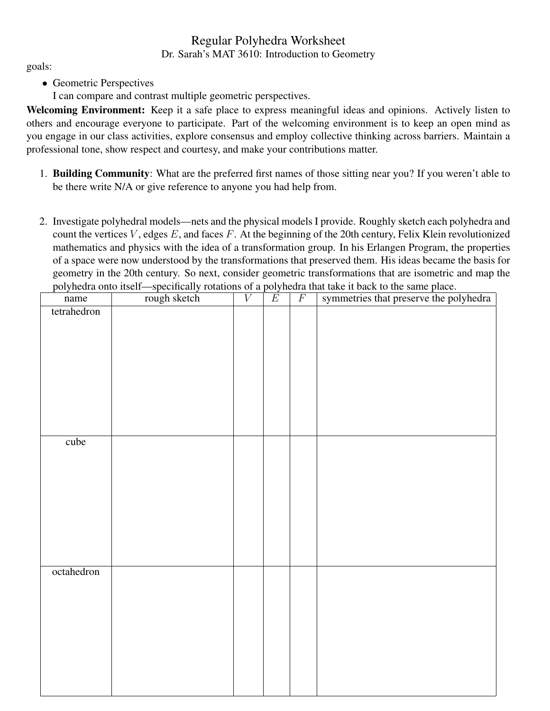## Regular Polyhedra Worksheet Dr. Sarah's MAT 3610: Introduction to Geometry

goals:

• Geometric Perspectives

I can compare and contrast multiple geometric perspectives.

Welcoming Environment: Keep it a safe place to express meaningful ideas and opinions. Actively listen to others and encourage everyone to participate. Part of the welcoming environment is to keep an open mind as you engage in our class activities, explore consensus and employ collective thinking across barriers. Maintain a professional tone, show respect and courtesy, and make your contributions matter.

- 1. Building Community: What are the preferred first names of those sitting near you? If you weren't able to be there write N/A or give reference to anyone you had help from.
- 2. Investigate polyhedral models—nets and the physical models I provide. Roughly sketch each polyhedra and count the vertices  $V$ , edges  $E$ , and faces  $F$ . At the beginning of the 20th century, Felix Klein revolutionized mathematics and physics with the idea of a transformation group. In his Erlangen Program, the properties of a space were now understood by the transformations that preserved them. His ideas became the basis for geometry in the 20th century. So next, consider geometric transformations that are isometric and map the polyhedra onto itself—specifically rotations of a polyhedra that take it back to the same place.

| tetrahedron |  |  |  |
|-------------|--|--|--|
|             |  |  |  |
|             |  |  |  |
|             |  |  |  |
|             |  |  |  |
|             |  |  |  |
|             |  |  |  |
|             |  |  |  |
|             |  |  |  |
|             |  |  |  |
| cube        |  |  |  |
|             |  |  |  |
|             |  |  |  |
|             |  |  |  |
|             |  |  |  |
|             |  |  |  |
|             |  |  |  |
|             |  |  |  |
|             |  |  |  |
|             |  |  |  |
| octahedron  |  |  |  |
|             |  |  |  |
|             |  |  |  |
|             |  |  |  |
|             |  |  |  |
|             |  |  |  |
|             |  |  |  |
|             |  |  |  |
|             |  |  |  |
|             |  |  |  |